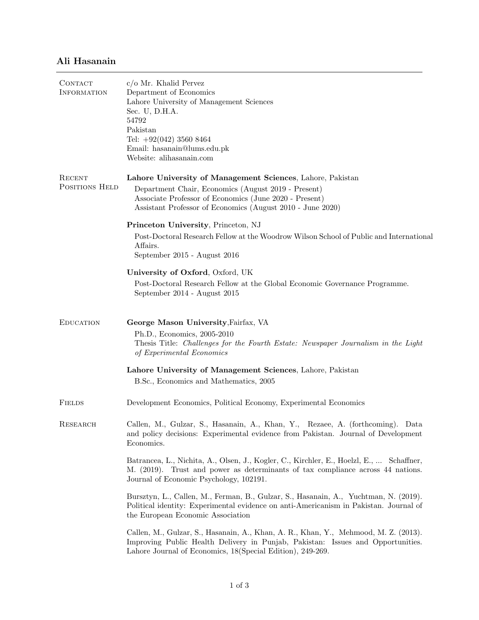## Ali Hasanain

| CONTACT<br><b>INFORMATION</b> | $c/\sigma$ Mr. Khalid Pervez<br>Department of Economics<br>Lahore University of Management Sciences<br>Sec. U, D.H.A.<br>54792<br>Pakistan<br>Tel: $+92(042)$ 3560 8464<br>Email: hasanain@lums.edu.pk<br>Website: alihasanain.com        |
|-------------------------------|-------------------------------------------------------------------------------------------------------------------------------------------------------------------------------------------------------------------------------------------|
| RECENT<br>POSITIONS HELD      | Lahore University of Management Sciences, Lahore, Pakistan<br>Department Chair, Economics (August 2019 - Present)<br>Associate Professor of Economics (June 2020 - Present)<br>Assistant Professor of Economics (August 2010 - June 2020) |
|                               | Princeton University, Princeton, NJ<br>Post-Doctoral Research Fellow at the Woodrow Wilson School of Public and International<br>Affairs.<br>September 2015 - August 2016                                                                 |
|                               | University of Oxford, Oxford, UK<br>Post-Doctoral Research Fellow at the Global Economic Governance Programme.<br>September 2014 - August 2015                                                                                            |
| <b>EDUCATION</b>              | George Mason University, Fairfax, VA<br>Ph.D., Economics, 2005-2010<br>Thesis Title: Challenges for the Fourth Estate: Newspaper Journalism in the Light<br>of Experimental Economics                                                     |
|                               | Lahore University of Management Sciences, Lahore, Pakistan<br>B.Sc., Economics and Mathematics, 2005                                                                                                                                      |
| <b>FIELDS</b>                 | Development Economics, Political Economy, Experimental Economics                                                                                                                                                                          |
| RESEARCH                      | Callen, M., Gulzar, S., Hasanain, A., Khan, Y., Rezaee, A. (forthcoming). Data<br>and policy decisions: Experimental evidence from Pakistan. Journal of Development<br>Economics.                                                         |
|                               | Batrancea, L., Nichita, A., Olsen, J., Kogler, C., Kirchler, E., Hoelzl, E.,  Schaffner,<br>M. (2019). Trust and power as determinants of tax compliance across 44 nations.<br>Journal of Economic Psychology, 102191.                    |
|                               | Bursztyn, L., Callen, M., Ferman, B., Gulzar, S., Hasanain, A., Yuchtman, N. (2019).<br>Political identity: Experimental evidence on anti-Americanism in Pakistan. Journal of<br>the European Economic Association                        |
|                               | Callen, M., Gulzar, S., Hasanain, A., Khan, A. R., Khan, Y., Mehmood, M. Z. (2013).<br>Improving Public Health Delivery in Punjab, Pakistan: Issues and Opportunities.<br>Lahore Journal of Economics, 18 (Special Edition), 249-269.     |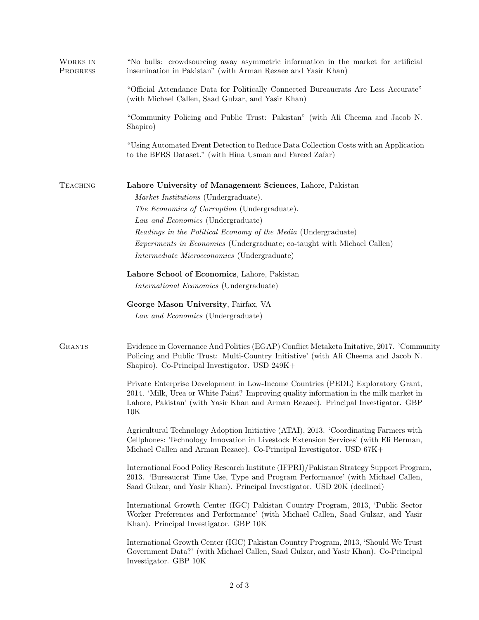| WORKS IN<br>PROGRESS | "No bulls: crowdsourcing away asymmetric information in the market for artificial<br>insemination in Pakistan" (with Arman Rezaee and Yasir Khan)                                                                                                                     |
|----------------------|-----------------------------------------------------------------------------------------------------------------------------------------------------------------------------------------------------------------------------------------------------------------------|
|                      | "Official Attendance Data for Politically Connected Bureaucrats Are Less Accurate"<br>(with Michael Callen, Saad Gulzar, and Yasir Khan)                                                                                                                              |
|                      | "Community Policing and Public Trust: Pakistan" (with Ali Cheema and Jacob N.<br>Shapiro)                                                                                                                                                                             |
|                      | "Using Automated Event Detection to Reduce Data Collection Costs with an Application<br>to the BFRS Dataset." (with Hina Usman and Fareed Zafar)                                                                                                                      |
| <b>TEACHING</b>      | Lahore University of Management Sciences, Lahore, Pakistan<br>Market Institutions (Undergraduate).                                                                                                                                                                    |
|                      | The Economics of Corruption (Undergraduate).                                                                                                                                                                                                                          |
|                      | Law and Economics (Undergraduate)<br>Readings in the Political Economy of the Media (Undergraduate)                                                                                                                                                                   |
|                      | <i>Experiments in Economics</i> (Undergraduate; co-taught with Michael Callen)                                                                                                                                                                                        |
|                      | Intermediate Microeconomics (Undergraduate)                                                                                                                                                                                                                           |
|                      | Lahore School of Economics, Lahore, Pakistan                                                                                                                                                                                                                          |
|                      | <i>International Economics</i> (Undergraduate)                                                                                                                                                                                                                        |
|                      | George Mason University, Fairfax, VA<br>Law and Economics (Undergraduate)                                                                                                                                                                                             |
| <b>GRANTS</b>        | Evidence in Governance And Politics (EGAP) Conflict Metaketa Initative, 2017. 'Community<br>Policing and Public Trust: Multi-Country Initiative' (with Ali Cheema and Jacob N.<br>Shapiro). Co-Principal Investigator. USD 249K+                                      |
|                      | Private Enterprise Development in Low-Income Countries (PEDL) Exploratory Grant,<br>2014. 'Milk, Urea or White Paint? Improving quality information in the milk market in<br>Lahore, Pakistan' (with Yasir Khan and Arman Rezaee). Principal Investigator. GBP<br>10K |
|                      | Agricultural Technology Adoption Initiative (ATAI), 2013. 'Coordinating Farmers with<br>Cellphones: Technology Innovation in Livestock Extension Services' (with Eli Berman,<br>Michael Callen and Arman Rezaee). Co-Principal Investigator. USD 67K+                 |
|                      | International Food Policy Research Institute (IFPRI)/Pakistan Strategy Support Program,<br>2013. 'Bureaucrat Time Use, Type and Program Performance' (with Michael Callen,<br>Saad Gulzar, and Yasir Khan). Principal Investigator. USD 20K (declined)                |
|                      | International Growth Center (IGC) Pakistan Country Program, 2013, 'Public Sector<br>Worker Preferences and Performance' (with Michael Callen, Saad Gulzar, and Yasir<br>Khan). Principal Investigator. GBP 10K                                                        |
|                      | International Growth Center (IGC) Pakistan Country Program, 2013, 'Should We Trust<br>Government Data?' (with Michael Callen, Saad Gulzar, and Yasir Khan). Co-Principal<br>Investigator. GBP 10K                                                                     |